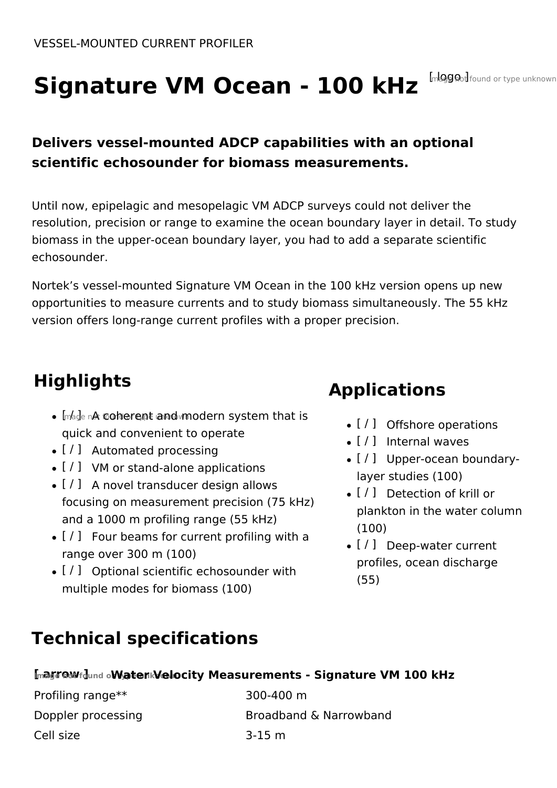# Signature VM Ocean - 100 kHz [nlgg od found or type unknown

# **Delivers vessel-mounted ADCP capabilities with an optional scientific echosounder for biomass measurements.**

Until now, epipelagic and mesopelagic VM ADCP surveys could not deliver the resolution, precision or range to examine the ocean boundary layer in detail. To study biomass in the upper-ocean boundary layer, you had to add a separate scientific echosounder.

Nortek's vessel-mounted Signature VM Ocean in the 100 kHz version opens up new opportunities to measure currents and to study biomass simultaneously. The 55 kHz version offers long-range current profiles with a proper precision.

# **Highlights**

- $\bullet$   $[$ mage n $\&$  coherent and modern system that is quick and convenient to operate
- [ / ] Automated processing
- [ / ] VM or stand-alone applications
- [ / ] A novel transducer design allows focusing on measurement precision (75 kHz) and a 1000 m profiling range (55 kHz)
- $\bullet$  [ / ] Four beams for current profiling with a range over 300 m (100)
- [ / ] Optional scientific echosounder with multiple modes for biomass (100)

# **Applications**

- [/] Offshore operations
- $\bullet$  [ / ] Internal waves
- [/] Upper-ocean boundarylayer studies (100)
- [ / ] Detection of krill or plankton in the water column (100)
- [/] Deep-water current profiles, ocean discharge (55)

# **Technical specifications**

### **[ arrow ] Image not found or type unknown Water Velocity Measurements - Signature VM 100 kHz**

| Profiling range**  | 300-400 m              |
|--------------------|------------------------|
| Doppler processing | Broadband & Narrowband |
| Cell size          | 3-15 m                 |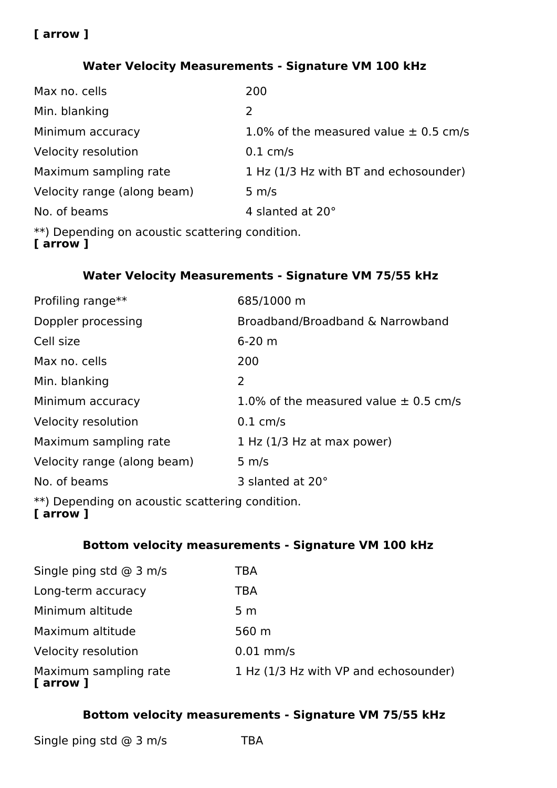#### **Water Velocity Measurements - Signature VM 100 kHz**

| Max no. cells                                                           | 200                                       |
|-------------------------------------------------------------------------|-------------------------------------------|
| Min. blanking                                                           | 2                                         |
| Minimum accuracy                                                        | 1.0% of the measured value $\pm$ 0.5 cm/s |
| Velocity resolution                                                     | $0.1 \text{ cm/s}$                        |
| Maximum sampling rate                                                   | 1 Hz (1/3 Hz with BT and echosounder)     |
| Velocity range (along beam)                                             | $5 \, \text{m/s}$                         |
| No. of beams                                                            | 4 slanted at 20°                          |
| **) Depending on acoustic scattering condition.<br><u>r - www.ur.</u> 1 |                                           |

#### **[ arrow ]**

#### **Water Velocity Measurements - Signature VM 75/55 kHz**

| Profiling range**           | 685/1000 m                                |
|-----------------------------|-------------------------------------------|
| Doppler processing          | Broadband/Broadband & Narrowband          |
| Cell size                   | $6 - 20$ m                                |
| Max no. cells               | 200                                       |
| Min. blanking               | 2                                         |
| Minimum accuracy            | 1.0% of the measured value $\pm$ 0.5 cm/s |
| Velocity resolution         | $0.1 \text{ cm/s}$                        |
| Maximum sampling rate       | 1 Hz (1/3 Hz at max power)                |
| Velocity range (along beam) | $5 \, \text{m/s}$                         |
| No. of beams                | 3 slanted at 20°                          |
|                             |                                           |

\*\*) Depending on acoustic scattering condition.

#### **[ arrow ]**

#### **Bottom velocity measurements - Signature VM 100 kHz**

| Single ping std $@$ 3 m/s          | TBA                                   |
|------------------------------------|---------------------------------------|
| Long-term accuracy                 | TBA                                   |
| Minimum altitude                   | 5 m                                   |
| Maximum altitude                   | 560 m                                 |
| Velocity resolution                | $0.01$ mm/s                           |
| Maximum sampling rate<br>[ arrow ] | 1 Hz (1/3 Hz with VP and echosounder) |

#### **Bottom velocity measurements - Signature VM 75/55 kHz**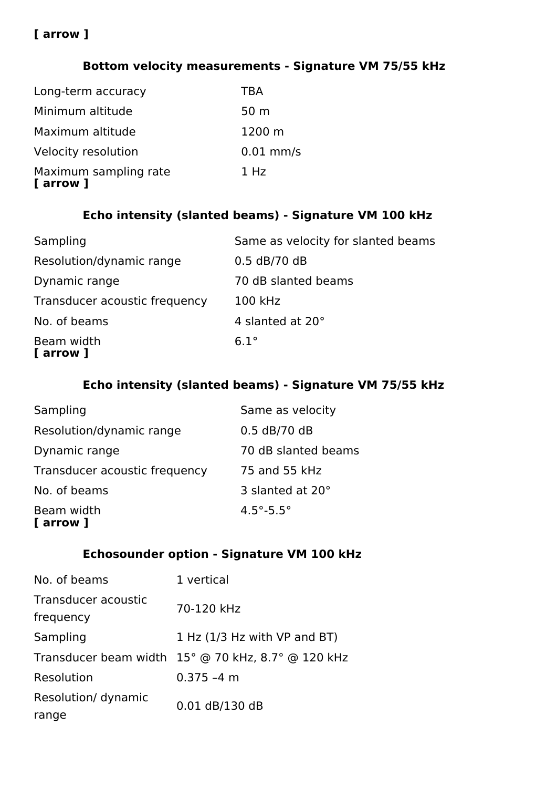#### **Bottom velocity measurements - Signature VM 75/55 kHz**

| [ arrow ]             |                 |
|-----------------------|-----------------|
| Maximum sampling rate | 1 Hz            |
| Velocity resolution   | $0.01$ mm/s     |
| Maximum altitude      | 1200 m          |
| Minimum altitude      | 50 <sub>m</sub> |
| Long-term accuracy    | <b>TBA</b>      |

### **Echo intensity (slanted beams) - Signature VM 100 kHz**

| Sampling                      | Same as velocity for slanted beams |
|-------------------------------|------------------------------------|
| Resolution/dynamic range      | $0.5$ dB/70 dB                     |
| Dynamic range                 | 70 dB slanted beams                |
| Transducer acoustic frequency | 100 kHz                            |
| No. of beams                  | 4 slanted at 20°                   |
| Beam width<br>[ arrow ]       | $6.1^\circ$                        |

#### **Echo intensity (slanted beams) - Signature VM 75/55 kHz**

| Sampling                      | Same as velocity            |
|-------------------------------|-----------------------------|
| Resolution/dynamic range      | $0.5$ dB/70 dB              |
| Dynamic range                 | 70 dB slanted beams         |
| Transducer acoustic frequency | 75 and 55 kHz               |
| No. of beams                  | 3 slanted at 20°            |
| Beam width<br>[ arrow ]       | $4.5^{\circ} - 5.5^{\circ}$ |

### **Echosounder option - Signature VM 100 kHz**

| No. of beams                     | 1 vertical                                         |
|----------------------------------|----------------------------------------------------|
| Transducer acoustic<br>frequency | 70-120 kHz                                         |
| Sampling                         | 1 Hz $(1/3$ Hz with VP and BT)                     |
|                                  | Transducer beam width 15° @ 70 kHz, 8.7° @ 120 kHz |
| Resolution                       | $0.375 - 4$ m                                      |
| Resolution/ dynamic              | 0.01 dB/130 dB                                     |
| range                            |                                                    |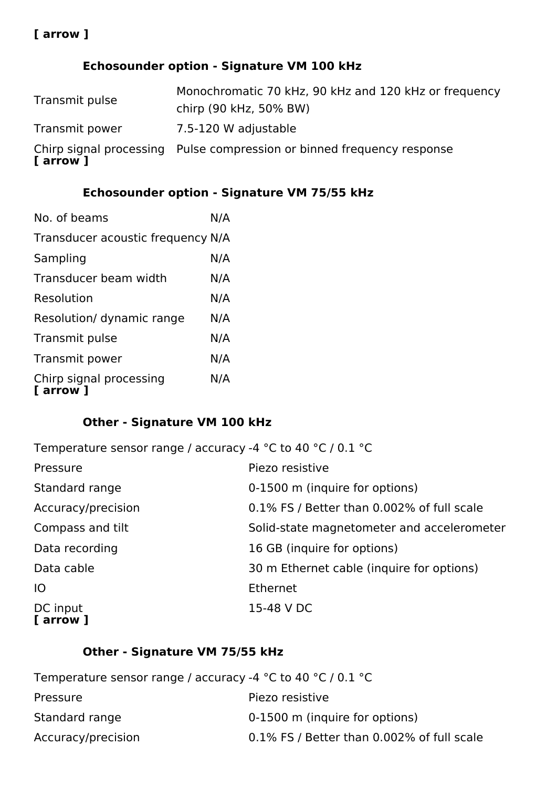# **Echosounder option - Signature VM 100 kHz**

| Transmit pulse | Monochromatic 70 kHz, 90 kHz and 120 kHz or frequency<br>chirp (90 kHz, 50% BW) |
|----------------|---------------------------------------------------------------------------------|
| Transmit power | 7.5-120 W adjustable                                                            |
| [ arrow ]      | Chirp signal processing Pulse compression or binned frequency response          |

# **Echosounder option - Signature VM 75/55 kHz**

| No. of beams                         | N/A |
|--------------------------------------|-----|
| Transducer acoustic frequency N/A    |     |
| Sampling                             | N/A |
| Transducer beam width                | N/A |
| Resolution                           | N/A |
| Resolution/ dynamic range            | N/A |
| Transmit pulse                       | N/A |
| Transmit power                       | N/A |
| Chirp signal processing<br>[ arrow ] | N/A |

### **Other - Signature VM 100 kHz**

| Temperature sensor range / accuracy -4 $^{\circ}$ C to 40 $^{\circ}$ C / 0.1 $^{\circ}$ C |                                            |
|-------------------------------------------------------------------------------------------|--------------------------------------------|
| Pressure                                                                                  | Piezo resistive                            |
| Standard range                                                                            | 0-1500 m (inquire for options)             |
| Accuracy/precision                                                                        | 0.1% FS / Better than 0.002% of full scale |
| Compass and tilt                                                                          | Solid-state magnetometer and accelerometer |
| Data recording                                                                            | 16 GB (inquire for options)                |
| Data cable                                                                                | 30 m Ethernet cable (inquire for options)  |
| IO                                                                                        | <b>Ethernet</b>                            |
| DC input<br>[ arrow ]                                                                     | 15-48 V DC                                 |

# **Other - Signature VM 75/55 kHz**

| Temperature sensor range / accuracy -4 $^{\circ}$ C to 40 $^{\circ}$ C / 0.1 $^{\circ}$ C |                                            |
|-------------------------------------------------------------------------------------------|--------------------------------------------|
| Pressure                                                                                  | Piezo resistive                            |
| Standard range                                                                            | 0-1500 m (inquire for options)             |
| Accuracy/precision                                                                        | 0.1% FS / Better than 0.002% of full scale |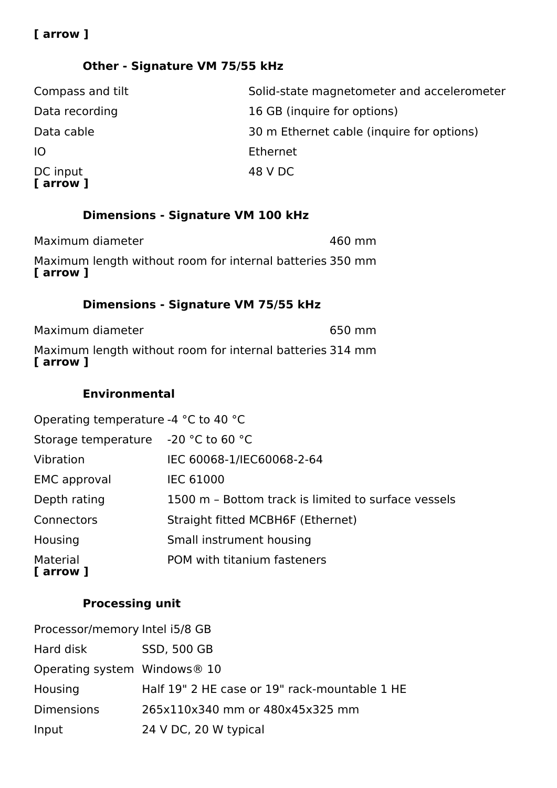### **Other - Signature VM 75/55 kHz**

| Compass and tilt      | Solid-state magnetometer and accelerometer |
|-----------------------|--------------------------------------------|
| Data recording        | 16 GB (inquire for options)                |
| Data cable            | 30 m Ethernet cable (inquire for options)  |
| <b>IO</b>             | Ethernet                                   |
| DC input<br>[ arrow ] | 48 V DC                                    |

# **Dimensions - Signature VM 100 kHz**

| Maximum diameter<br>Maximum length without room for internal batteries 350 mm | 460 mm |
|-------------------------------------------------------------------------------|--------|
| [ arrow ]                                                                     |        |

# **Dimensions - Signature VM 75/55 kHz**

| [ arrow ]        | Maximum length without room for internal batteries 314 mm |        |  |
|------------------|-----------------------------------------------------------|--------|--|
| Maximum diameter |                                                           | 650 mm |  |

#### **Environmental**

| Operating temperature -4 °C to 40 °C |                                                     |
|--------------------------------------|-----------------------------------------------------|
| Storage temperature -20 °C to 60 °C  |                                                     |
| Vibration                            | IEC 60068-1/IEC60068-2-64                           |
| <b>EMC</b> approval                  | <b>IEC 61000</b>                                    |
| Depth rating                         | 1500 m - Bottom track is limited to surface vessels |
| Connectors                           | Straight fitted MCBH6F (Ethernet)                   |
| Housing                              | Small instrument housing                            |
| Material<br>[ arrow ]                | POM with titanium fasteners                         |

# **Processing unit**

| Processor/memory Intel i5/8 GB           |                                               |
|------------------------------------------|-----------------------------------------------|
| Hard disk                                | <b>SSD, 500 GB</b>                            |
| Operating system Windows <sup>®</sup> 10 |                                               |
| Housing                                  | Half 19" 2 HE case or 19" rack-mountable 1 HE |
| <b>Dimensions</b>                        | 265x110x340 mm or 480x45x325 mm               |
| Input                                    | 24 V DC, 20 W typical                         |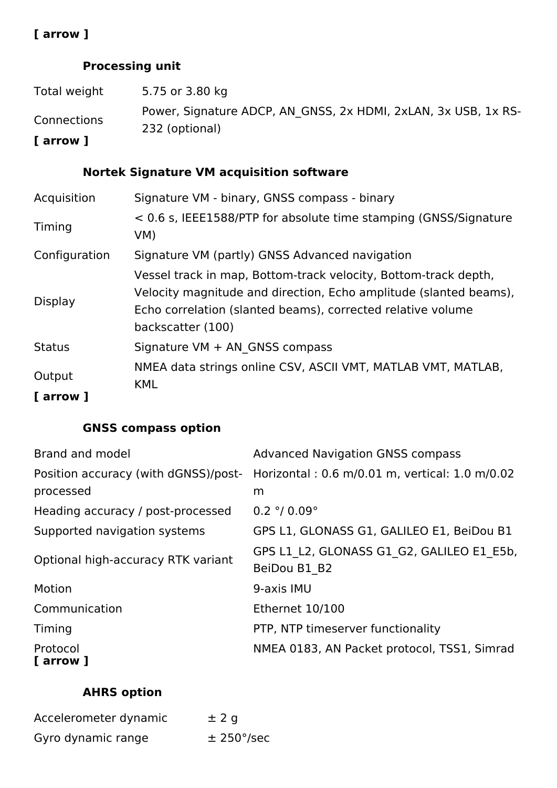### **Processing unit**

| Total weight | 5.75 or 3.80 kg                                                |
|--------------|----------------------------------------------------------------|
|              | Power, Signature ADCP, AN GNSS, 2x HDMI, 2xLAN, 3x USB, 1x RS- |
| Connections  | 232 (optional)                                                 |
| [ arrow ]    |                                                                |

# **Nortek Signature VM acquisition software**

| Acquisition         | Signature VM - binary, GNSS compass - binary                                                                                                                                                                             |
|---------------------|--------------------------------------------------------------------------------------------------------------------------------------------------------------------------------------------------------------------------|
| Timing              | < 0.6 s, IEEE1588/PTP for absolute time stamping (GNSS/Signature<br>VM)                                                                                                                                                  |
| Configuration       | Signature VM (partly) GNSS Advanced navigation                                                                                                                                                                           |
| Display             | Vessel track in map, Bottom-track velocity, Bottom-track depth,<br>Velocity magnitude and direction, Echo amplitude (slanted beams),<br>Echo correlation (slanted beams), corrected relative volume<br>backscatter (100) |
| <b>Status</b>       | Signature VM + AN GNSS compass                                                                                                                                                                                           |
| Output<br>[ arrow ] | NMEA data strings online CSV, ASCII VMT, MATLAB VMT, MATLAB,<br><b>KML</b>                                                                                                                                               |

# **GNSS compass option**

| Brand and model                      | <b>Advanced Navigation GNSS compass</b>        |
|--------------------------------------|------------------------------------------------|
| Position accuracy (with dGNSS)/post- | Horizontal: 0.6 m/0.01 m, vertical: 1.0 m/0.02 |
| processed                            | m                                              |
| Heading accuracy / post-processed    | $0.2$ °/ $0.09$ °                              |
| Supported navigation systems         | GPS L1, GLONASS G1, GALILEO E1, BeiDou B1      |
| Optional high-accuracy RTK variant   | GPS L1 L2, GLONASS G1 G2, GALILEO E1 E5b,      |
|                                      | BeiDou B1 B2                                   |
| Motion                               | 9-axis IMU                                     |
| Communication                        | Ethernet 10/100                                |
| Timing                               | PTP, NTP timeserver functionality              |
| Protocol<br>[ arrow ]                | NMEA 0183, AN Packet protocol, TSS1, Simrad    |

# **AHRS option**

| Accelerometer dynamic | $±$ 2 q                  |
|-----------------------|--------------------------|
| Gyro dynamic range    | $\pm$ 250 $\degree$ /sec |